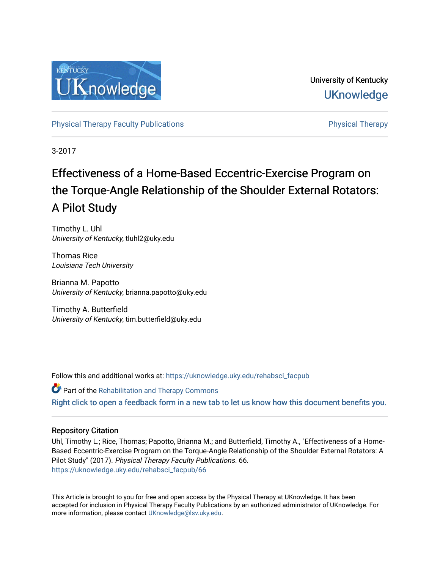

University of Kentucky **UKnowledge** 

[Physical Therapy Faculty Publications](https://uknowledge.uky.edu/rehabsci_facpub) **Physical Therapy** Physical Therapy

3-2017

# Effectiveness of a Home-Based Eccentric-Exercise Program on the Torque-Angle Relationship of the Shoulder External Rotators: A Pilot Study

Timothy L. Uhl University of Kentucky, tluhl2@uky.edu

Thomas Rice Louisiana Tech University

Brianna M. Papotto University of Kentucky, brianna.papotto@uky.edu

Timothy A. Butterfield University of Kentucky, tim.butterfield@uky.edu

Follow this and additional works at: [https://uknowledge.uky.edu/rehabsci\\_facpub](https://uknowledge.uky.edu/rehabsci_facpub?utm_source=uknowledge.uky.edu%2Frehabsci_facpub%2F66&utm_medium=PDF&utm_campaign=PDFCoverPages) 

**Part of the Rehabilitation and Therapy Commons** [Right click to open a feedback form in a new tab to let us know how this document benefits you.](https://uky.az1.qualtrics.com/jfe/form/SV_9mq8fx2GnONRfz7)

#### Repository Citation

Uhl, Timothy L.; Rice, Thomas; Papotto, Brianna M.; and Butterfield, Timothy A., "Effectiveness of a Home-Based Eccentric-Exercise Program on the Torque-Angle Relationship of the Shoulder External Rotators: A Pilot Study" (2017). Physical Therapy Faculty Publications. 66. [https://uknowledge.uky.edu/rehabsci\\_facpub/66](https://uknowledge.uky.edu/rehabsci_facpub/66?utm_source=uknowledge.uky.edu%2Frehabsci_facpub%2F66&utm_medium=PDF&utm_campaign=PDFCoverPages)

This Article is brought to you for free and open access by the Physical Therapy at UKnowledge. It has been accepted for inclusion in Physical Therapy Faculty Publications by an authorized administrator of UKnowledge. For more information, please contact [UKnowledge@lsv.uky.edu](mailto:UKnowledge@lsv.uky.edu).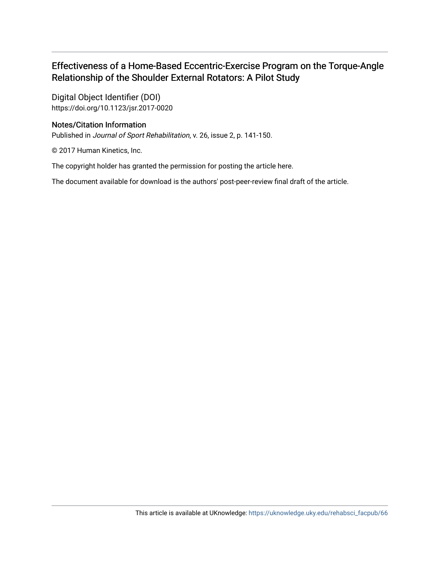# Effectiveness of a Home-Based Eccentric-Exercise Program on the Torque-Angle Relationship of the Shoulder External Rotators: A Pilot Study

Digital Object Identifier (DOI) https://doi.org/10.1123/jsr.2017-0020

### Notes/Citation Information

Published in Journal of Sport Rehabilitation, v. 26, issue 2, p. 141-150.

© 2017 Human Kinetics, Inc.

The copyright holder has granted the permission for posting the article here.

The document available for download is the authors' post-peer-review final draft of the article.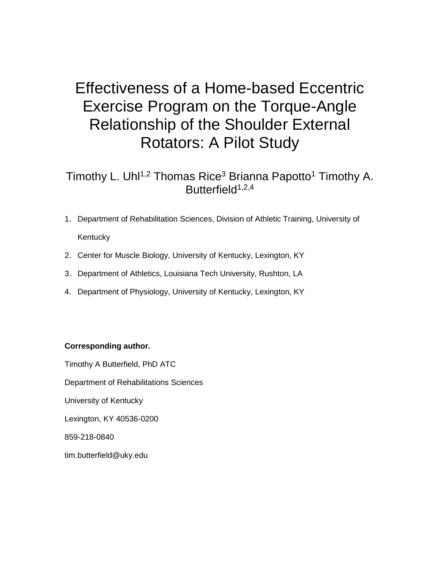# Effectiveness of a Home-based Eccentric Exercise Program on the Torque-Angle Relationship of the Shoulder External Rotators: A Pilot Study

# Timothy L. Uhl<sup>1,2</sup> Thomas Rice<sup>3</sup> Brianna Papotto<sup>1</sup> Timothy A. Butterfield $1,2,4$

- 1. Department of Rehabilitation Sciences, Division of Athletic Training, University of **Kentucky**
- 2. Center for Muscle Biology, University of Kentucky, Lexington, KY
- 3. Department of Athletics, Louisiana Tech University, Rushton, LA
- 4. Department of Physiology, University of Kentucky, Lexington, KY

## **Corresponding author.**

Timothy A Butterfield, PhD ATC Department of Rehabilitations Sciences University of Kentucky Lexington, KY 40536-0200 859-218-0840 tim.butterfield@uky.edu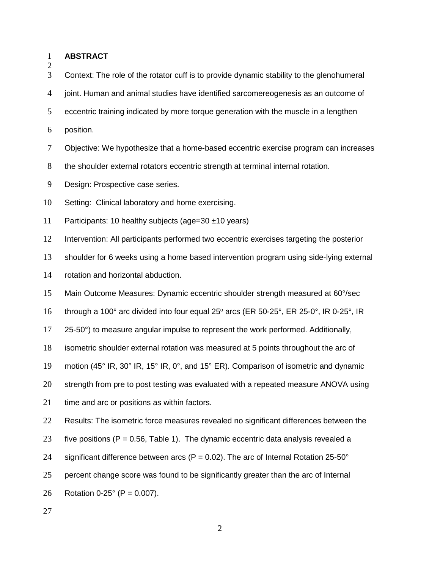|  | <b>ABSTRACT</b> |
|--|-----------------|
|--|-----------------|

Context: The role of the rotator cuff is to provide dynamic stability to the glenohumeral

joint. Human and animal studies have identified sarcomereogenesis as an outcome of

- eccentric training indicated by more torque generation with the muscle in a lengthen
- position.

Objective: We hypothesize that a home-based eccentric exercise program can increases

8 the shoulder external rotators eccentric strength at terminal internal rotation.

- Design: Prospective case series.
- Setting: Clinical laboratory and home exercising.
- Participants: 10 healthy subjects (age=30 ±10 years)

Intervention: All participants performed two eccentric exercises targeting the posterior

- shoulder for 6 weeks using a home based intervention program using side-lying external
- rotation and horizontal abduction.
- Main Outcome Measures: Dynamic eccentric shoulder strength measured at 60°/sec
- 16 through a 100° arc divided into four equal 25° arcs (ER 50-25°, ER 25-0°, IR 0-25°, IR

25-50°) to measure angular impulse to represent the work performed. Additionally,

- isometric shoulder external rotation was measured at 5 points throughout the arc of
- motion (45° IR, 30° IR, 15° IR, 0°, and 15° ER). Comparison of isometric and dynamic
- strength from pre to post testing was evaluated with a repeated measure ANOVA using
- 21 time and arc or positions as within factors.

22 Results: The isometric force measures revealed no significant differences between the

- 23 five positions ( $P = 0.56$ , Table 1). The dynamic eccentric data analysis revealed a
- 24 significant difference between arcs ( $P = 0.02$ ). The arc of Internal Rotation 25-50°

percent change score was found to be significantly greater than the arc of Internal

26 Rotation 0-25 $^{\circ}$  (P = 0.007).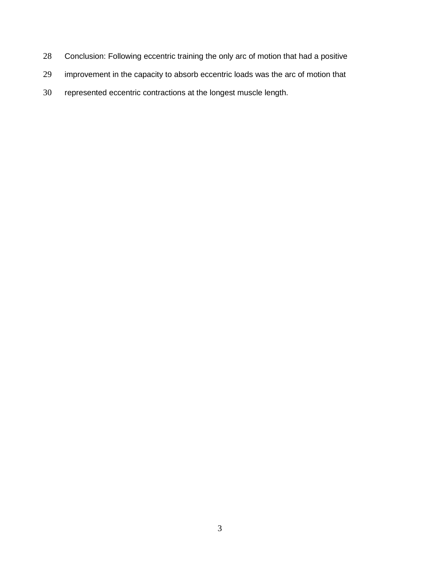- Conclusion: Following eccentric training the only arc of motion that had a positive
- improvement in the capacity to absorb eccentric loads was the arc of motion that
- represented eccentric contractions at the longest muscle length.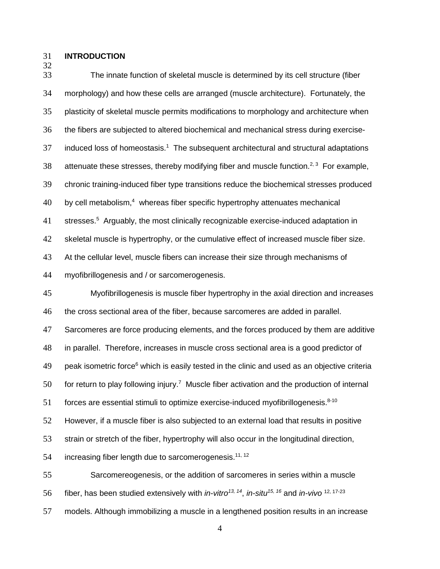#### **INTRODUCTION**

 The innate function of skeletal muscle is determined by its cell structure (fiber morphology) and how these cells are arranged (muscle architecture). Fortunately, the plasticity of skeletal muscle permits modifications to morphology and architecture when the fibers are subjected to altered biochemical and mechanical stress during exercise-37 induced loss of homeostasis.<sup>1</sup> The subsequent architectural and structural adaptations 38 attenuate these stresses, thereby modifying fiber and muscle function.<sup>2, 3</sup> For example, chronic training-induced fiber type transitions reduce the biochemical stresses produced by cell metabolism.<sup>4</sup> whereas fiber specific hypertrophy attenuates mechanical 41 stresses.<sup>5</sup> Arguably, the most clinically recognizable exercise-induced adaptation in skeletal muscle is hypertrophy, or the cumulative effect of increased muscle fiber size. At the cellular level, muscle fibers can increase their size through mechanisms of myofibrillogenesis and / or sarcomerogenesis.

 Myofibrillogenesis is muscle fiber hypertrophy in the axial direction and increases the cross sectional area of the fiber, because sarcomeres are added in parallel. Sarcomeres are force producing elements, and the forces produced by them are additive in parallel. Therefore, increases in muscle cross sectional area is a good predictor of 49 beak isometric force<sup>6</sup> which is easily tested in the clinic and used as an objective criteria for return to play following injury.<sup>7</sup> Muscle fiber activation and the production of internal 51 forces are essential stimuli to optimize exercise-induced myofibrillogenesis. $8-10$  However, if a muscle fiber is also subjected to an external load that results in positive strain or stretch of the fiber, hypertrophy will also occur in the longitudinal direction, 54 increasing fiber length due to sarcomerogenesis.<sup>11, 12</sup> Sarcomereogenesis, or the addition of sarcomeres in series within a muscle fiber, has been studied extensively with *in-vitro13, 14*, *in-situ15, 16* and *in-vivo* 12, 17-23

models. Although immobilizing a muscle in a lengthened position results in an increase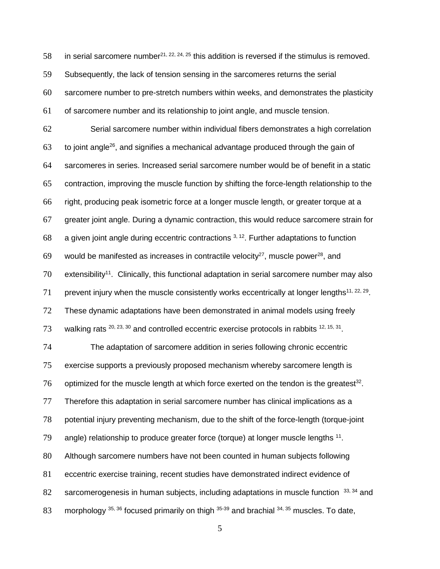58 in serial sarcomere number<sup>21, 22, 24, 25</sup> this addition is reversed if the stimulus is removed. Subsequently, the lack of tension sensing in the sarcomeres returns the serial sarcomere number to pre-stretch numbers within weeks, and demonstrates the plasticity of sarcomere number and its relationship to joint angle, and muscle tension.

 Serial sarcomere number within individual fibers demonstrates a high correlation to joint angle<sup>26</sup>, and signifies a mechanical advantage produced through the gain of sarcomeres in series. Increased serial sarcomere number would be of benefit in a static contraction, improving the muscle function by shifting the force-length relationship to the right, producing peak isometric force at a longer muscle length, or greater torque at a greater joint angle. During a dynamic contraction, this would reduce sarcomere strain for 68 a given joint angle during eccentric contractions  $3, 12$ . Further adaptations to function 69 would be manifested as increases in contractile velocity<sup>27</sup>, muscle power<sup>28</sup>, and extensibility<sup>11</sup>. Clinically, this functional adaptation in serial sarcomere number may also 71 prevent injury when the muscle consistently works eccentrically at longer lengths<sup>11, 22, 29</sup>. These dynamic adaptations have been demonstrated in animal models using freely 73 walking rats  $20, 23, 30$  and controlled eccentric exercise protocols in rabbits  $12, 15, 31$ .

 The adaptation of sarcomere addition in series following chronic eccentric exercise supports a previously proposed mechanism whereby sarcomere length is 76 optimized for the muscle length at which force exerted on the tendon is the greatest<sup>32</sup>. Therefore this adaptation in serial sarcomere number has clinical implications as a potential injury preventing mechanism, due to the shift of the force-length (torque-joint angle) relationship to produce greater force (torque) at longer muscle lengths . Although sarcomere numbers have not been counted in human subjects following eccentric exercise training, recent studies have demonstrated indirect evidence of 82 sarcomerogenesis in human subjects, including adaptations in muscle function  $33, 34$  and 83 morphology  $35, 36$  focused primarily on thigh  $35-39$  and brachial  $34, 35$  muscles. To date,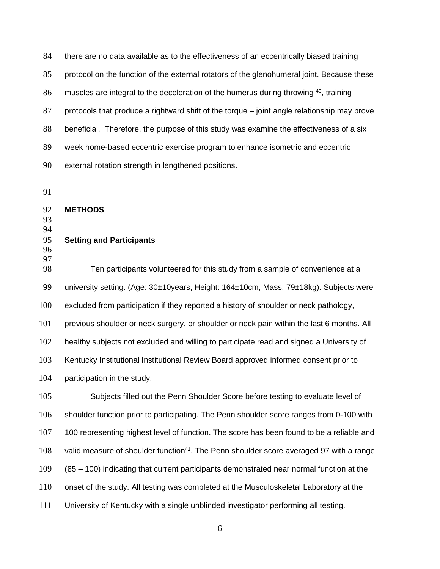there are no data available as to the effectiveness of an eccentrically biased training protocol on the function of the external rotators of the glenohumeral joint. Because these 86 muscles are integral to the deceleration of the humerus during throwing , training protocols that produce a rightward shift of the torque – joint angle relationship may prove beneficial. Therefore, the purpose of this study was examine the effectiveness of a six week home-based eccentric exercise program to enhance isometric and eccentric external rotation strength in lengthened positions.

**METHODS**

 

**Setting and Participants**

 

 Ten participants volunteered for this study from a sample of convenience at a 99 university setting. (Age: 30±10years, Height: 164±10cm, Mass: 79±18kg). Subjects were excluded from participation if they reported a history of shoulder or neck pathology, previous shoulder or neck surgery, or shoulder or neck pain within the last 6 months. All healthy subjects not excluded and willing to participate read and signed a University of Kentucky Institutional Institutional Review Board approved informed consent prior to participation in the study.

 Subjects filled out the Penn Shoulder Score before testing to evaluate level of shoulder function prior to participating. The Penn shoulder score ranges from 0-100 with 100 representing highest level of function. The score has been found to be a reliable and 108 valid measure of shoulder function<sup>41</sup>. The Penn shoulder score averaged 97 with a range (85 – 100) indicating that current participants demonstrated near normal function at the onset of the study. All testing was completed at the Musculoskeletal Laboratory at the University of Kentucky with a single unblinded investigator performing all testing.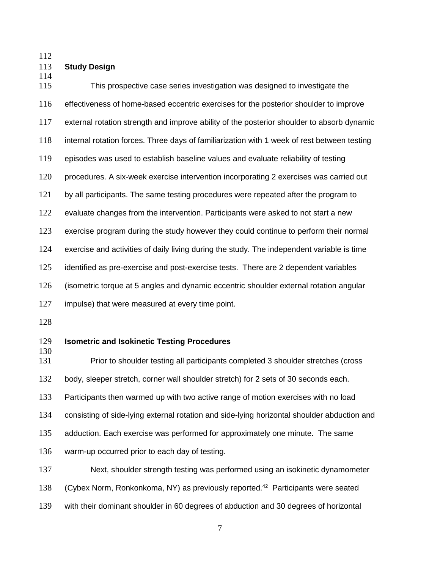#### **Study Design**

 This prospective case series investigation was designed to investigate the effectiveness of home-based eccentric exercises for the posterior shoulder to improve external rotation strength and improve ability of the posterior shoulder to absorb dynamic internal rotation forces. Three days of familiarization with 1 week of rest between testing episodes was used to establish baseline values and evaluate reliability of testing procedures. A six-week exercise intervention incorporating 2 exercises was carried out by all participants. The same testing procedures were repeated after the program to 122 evaluate changes from the intervention. Participants were asked to not start a new exercise program during the study however they could continue to perform their normal exercise and activities of daily living during the study. The independent variable is time identified as pre-exercise and post-exercise tests. There are 2 dependent variables (isometric torque at 5 angles and dynamic eccentric shoulder external rotation angular impulse) that were measured at every time point.

#### **Isometric and Isokinetic Testing Procedures**

 Prior to shoulder testing all participants completed 3 shoulder stretches (cross body, sleeper stretch, corner wall shoulder stretch) for 2 sets of 30 seconds each. Participants then warmed up with two active range of motion exercises with no load consisting of side-lying external rotation and side-lying horizontal shoulder abduction and adduction. Each exercise was performed for approximately one minute. The same warm-up occurred prior to each day of testing.

 Next, shoulder strength testing was performed using an isokinetic dynamometer 138 (Cybex Norm, Ronkonkoma, NY) as previously reported.<sup>42</sup> Participants were seated with their dominant shoulder in 60 degrees of abduction and 30 degrees of horizontal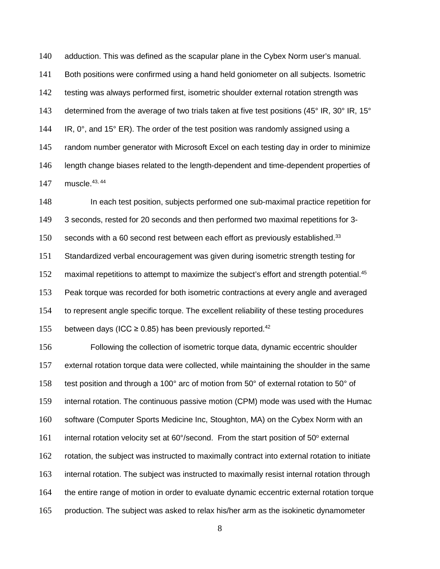adduction. This was defined as the scapular plane in the Cybex Norm user's manual. Both positions were confirmed using a hand held goniometer on all subjects. Isometric testing was always performed first, isometric shoulder external rotation strength was 143 determined from the average of two trials taken at five test positions (45° IR, 30° IR, 15° 144 IR,  $0^\circ$ , and 15 $^\circ$  ER). The order of the test position was randomly assigned using a random number generator with Microsoft Excel on each testing day in order to minimize length change biases related to the length-dependent and time-dependent properties of 147 muscle. 43, 44

 In each test position, subjects performed one sub-maximal practice repetition for 3 seconds, rested for 20 seconds and then performed two maximal repetitions for 3- seconds with a 60 second rest between each effort as previously established.<sup>33</sup> Standardized verbal encouragement was given during isometric strength testing for 152 maximal repetitions to attempt to maximize the subject's effort and strength potential.<sup>45</sup> Peak torque was recorded for both isometric contractions at every angle and averaged to represent angle specific torque. The excellent reliability of these testing procedures 155 between days (ICC  $\geq$  0.85) has been previously reported.<sup>42</sup>

 Following the collection of isometric torque data, dynamic eccentric shoulder external rotation torque data were collected, while maintaining the shoulder in the same 158 test position and through a 100° arc of motion from 50° of external rotation to 50° of internal rotation. The continuous passive motion (CPM) mode was used with the Humac software (Computer Sports Medicine Inc, Stoughton, MA) on the Cybex Norm with an internal rotation velocity set at 60°/second. From the start position of 50 $^{\circ}$  external rotation, the subject was instructed to maximally contract into external rotation to initiate 163 internal rotation. The subject was instructed to maximally resist internal rotation through the entire range of motion in order to evaluate dynamic eccentric external rotation torque production. The subject was asked to relax his/her arm as the isokinetic dynamometer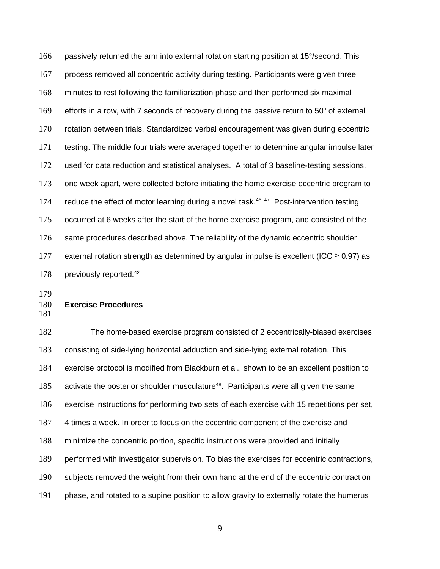passively returned the arm into external rotation starting position at 15°/second. This process removed all concentric activity during testing. Participants were given three minutes to rest following the familiarization phase and then performed six maximal 169 efforts in a row, with 7 seconds of recovery during the passive return to  $50^{\circ}$  of external rotation between trials. Standardized verbal encouragement was given during eccentric testing. The middle four trials were averaged together to determine angular impulse later used for data reduction and statistical analyses. A total of 3 baseline-testing sessions, one week apart, were collected before initiating the home exercise eccentric program to 174 reduce the effect of motor learning during a novel task.<sup>46, 47</sup> Post-intervention testing occurred at 6 weeks after the start of the home exercise program, and consisted of the same procedures described above. The reliability of the dynamic eccentric shoulder 177 external rotation strength as determined by angular impulse is excellent (ICC  $\geq$  0.97) as 178 previously reported.<sup>42</sup>

# **Exercise Procedures**

 The home-based exercise program consisted of 2 eccentrically-biased exercises consisting of side-lying horizontal adduction and side-lying external rotation. This exercise protocol is modified from Blackburn et al., shown to be an excellent position to 185 activate the posterior shoulder musculature<sup>48</sup>. Participants were all given the same exercise instructions for performing two sets of each exercise with 15 repetitions per set, 4 times a week. In order to focus on the eccentric component of the exercise and minimize the concentric portion, specific instructions were provided and initially performed with investigator supervision. To bias the exercises for eccentric contractions, subjects removed the weight from their own hand at the end of the eccentric contraction phase, and rotated to a supine position to allow gravity to externally rotate the humerus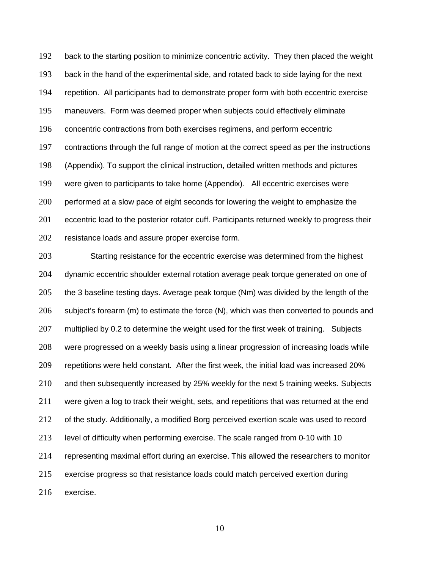192 back to the starting position to minimize concentric activity. They then placed the weight back in the hand of the experimental side, and rotated back to side laying for the next repetition. All participants had to demonstrate proper form with both eccentric exercise maneuvers. Form was deemed proper when subjects could effectively eliminate concentric contractions from both exercises regimens, and perform eccentric contractions through the full range of motion at the correct speed as per the instructions (Appendix). To support the clinical instruction, detailed written methods and pictures were given to participants to take home (Appendix). All eccentric exercises were 200 performed at a slow pace of eight seconds for lowering the weight to emphasize the 201 eccentric load to the posterior rotator cuff. Participants returned weekly to progress their resistance loads and assure proper exercise form.

 Starting resistance for the eccentric exercise was determined from the highest dynamic eccentric shoulder external rotation average peak torque generated on one of the 3 baseline testing days. Average peak torque (Nm) was divided by the length of the subject's forearm (m) to estimate the force (N), which was then converted to pounds and 207 multiplied by 0.2 to determine the weight used for the first week of training. Subjects were progressed on a weekly basis using a linear progression of increasing loads while repetitions were held constant. After the first week, the initial load was increased 20% and then subsequently increased by 25% weekly for the next 5 training weeks. Subjects 211 were given a log to track their weight, sets, and repetitions that was returned at the end of the study. Additionally, a modified Borg perceived exertion scale was used to record level of difficulty when performing exercise. The scale ranged from 0-10 with 10 representing maximal effort during an exercise. This allowed the researchers to monitor exercise progress so that resistance loads could match perceived exertion during exercise.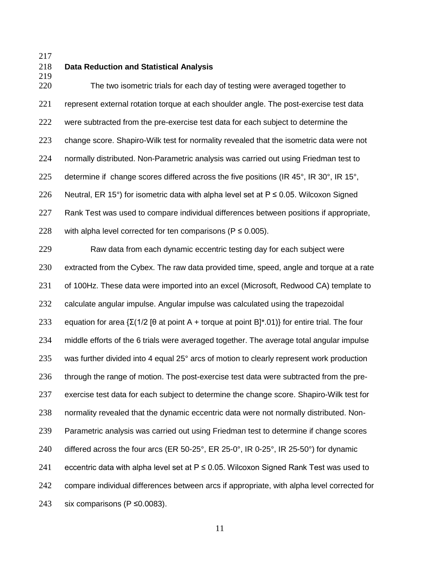#### **Data Reduction and Statistical Analysis**

 The two isometric trials for each day of testing were averaged together to represent external rotation torque at each shoulder angle. The post-exercise test data were subtracted from the pre-exercise test data for each subject to determine the change score. Shapiro-Wilk test for normality revealed that the isometric data were not normally distributed. Non-Parametric analysis was carried out using Friedman test to 225 determine if change scores differed across the five positions (IR 45 $^{\circ}$ , IR 30 $^{\circ}$ , IR 15 $^{\circ}$ , 226 Neutral, ER 15°) for isometric data with alpha level set at  $P \le 0.05$ . Wilcoxon Signed Rank Test was used to compare individual differences between positions if appropriate, 228 with alpha level corrected for ten comparisons ( $P \le 0.005$ ).

 Raw data from each dynamic eccentric testing day for each subject were extracted from the Cybex. The raw data provided time, speed, angle and torque at a rate of 100Hz. These data were imported into an excel (Microsoft, Redwood CA) template to calculate angular impulse. Angular impulse was calculated using the trapezoidal 233 equation for area  $\{\Sigma(1/2)$  [θ at point A + torque at point B]\*.01)} for entire trial. The four middle efforts of the 6 trials were averaged together. The average total angular impulse 235 was further divided into 4 equal 25° arcs of motion to clearly represent work production through the range of motion. The post-exercise test data were subtracted from the pre- exercise test data for each subject to determine the change score. Shapiro-Wilk test for normality revealed that the dynamic eccentric data were not normally distributed. Non- Parametric analysis was carried out using Friedman test to determine if change scores differed across the four arcs (ER 50-25°, ER 25-0°, IR 0-25°, IR 25-50°) for dynamic 241 eccentric data with alpha level set at  $P \le 0.05$ . Wilcoxon Signed Rank Test was used to 242 compare individual differences between arcs if appropriate, with alpha level corrected for six comparisons (P ≤0.0083).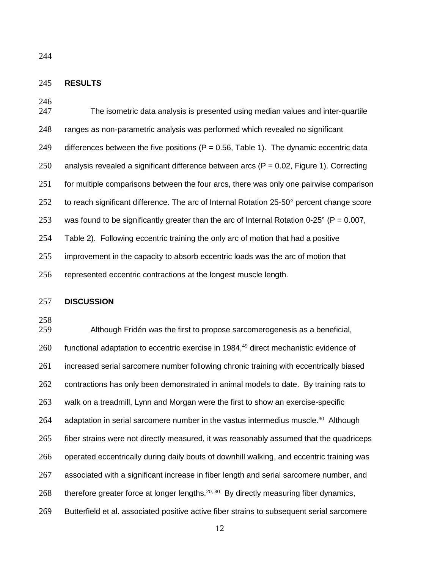#### **RESULTS**

| 247 | The isometric data analysis is presented using median values and inter-quartile                    |
|-----|----------------------------------------------------------------------------------------------------|
| 248 | ranges as non-parametric analysis was performed which revealed no significant                      |
| 249 | differences between the five positions ( $P = 0.56$ , Table 1). The dynamic eccentric data         |
| 250 | analysis revealed a significant difference between arcs ( $P = 0.02$ , Figure 1). Correcting       |
| 251 | for multiple comparisons between the four arcs, there was only one pairwise comparison             |
| 252 | to reach significant difference. The arc of Internal Rotation 25-50° percent change score          |
| 253 | was found to be significantly greater than the arc of Internal Rotation 0-25 $\degree$ (P = 0.007, |
| 254 | Table 2). Following eccentric training the only arc of motion that had a positive                  |
| 255 | improvement in the capacity to absorb eccentric loads was the arc of motion that                   |
| 256 | represented eccentric contractions at the longest muscle length.                                   |

#### **DISCUSSION**

258<br>259

Although Fridén was the first to propose sarcomerogenesis as a beneficial, functional adaptation to eccentric exercise in 1984, $49$  direct mechanistic evidence of increased serial sarcomere number following chronic training with eccentrically biased 262 contractions has only been demonstrated in animal models to date. By training rats to walk on a treadmill, Lynn and Morgan were the first to show an exercise-specific 264 adaptation in serial sarcomere number in the vastus intermedius muscle.<sup>30</sup> Although fiber strains were not directly measured, it was reasonably assumed that the quadriceps operated eccentrically during daily bouts of downhill walking, and eccentric training was associated with a significant increase in fiber length and serial sarcomere number, and 268 therefore greater force at longer lengths.<sup>20, 30</sup> By directly measuring fiber dynamics, Butterfield et al. associated positive active fiber strains to subsequent serial sarcomere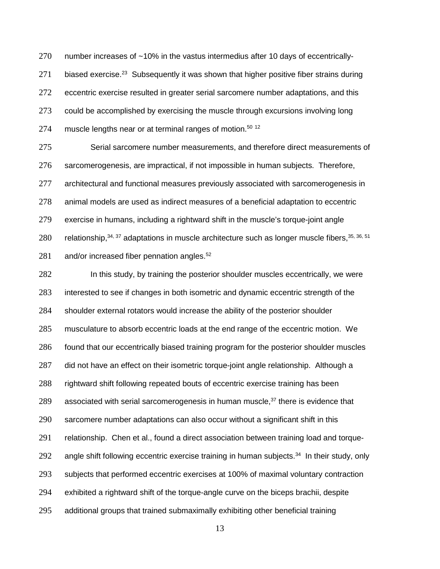number increases of ~10% in the vastus intermedius after 10 days of eccentrically-271 biased exercise.<sup>23</sup> Subsequently it was shown that higher positive fiber strains during eccentric exercise resulted in greater serial sarcomere number adaptations, and this could be accomplished by exercising the muscle through excursions involving long 274 muscle lengths near or at terminal ranges of motion.<sup>50 12</sup>

 Serial sarcomere number measurements, and therefore direct measurements of sarcomerogenesis, are impractical, if not impossible in human subjects. Therefore, architectural and functional measures previously associated with sarcomerogenesis in animal models are used as indirect measures of a beneficial adaptation to eccentric exercise in humans, including a rightward shift in the muscle's torque-joint angle 280 Felationship,  $34, 37$  adaptations in muscle architecture such as longer muscle fibers,  $35, 36, 51$ and/or increased fiber pennation angles.<sup>52</sup>

 In this study, by training the posterior shoulder muscles eccentrically, we were interested to see if changes in both isometric and dynamic eccentric strength of the shoulder external rotators would increase the ability of the posterior shoulder musculature to absorb eccentric loads at the end range of the eccentric motion. We found that our eccentrically biased training program for the posterior shoulder muscles did not have an effect on their isometric torque-joint angle relationship. Although a rightward shift following repeated bouts of eccentric exercise training has been 289 associated with serial sarcomerogenesis in human muscle, $37$  there is evidence that sarcomere number adaptations can also occur without a significant shift in this relationship. Chen et al., found a direct association between training load and torque-292 angle shift following eccentric exercise training in human subjects.<sup>34</sup> In their study, only subjects that performed eccentric exercises at 100% of maximal voluntary contraction exhibited a rightward shift of the torque-angle curve on the biceps brachii, despite additional groups that trained submaximally exhibiting other beneficial training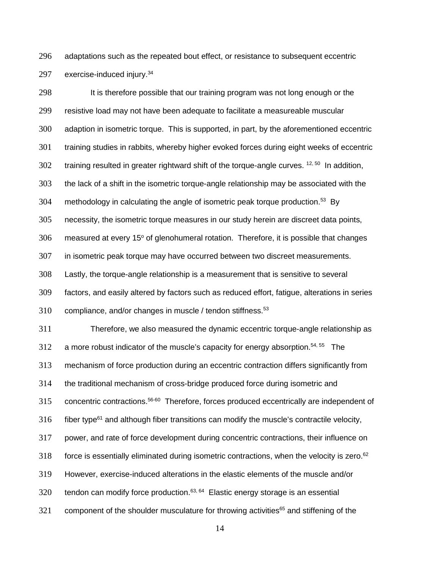adaptations such as the repeated bout effect, or resistance to subsequent eccentric 297 exercise-induced injury.<sup>34</sup>

 It is therefore possible that our training program was not long enough or the resistive load may not have been adequate to facilitate a measureable muscular adaption in isometric torque. This is supported, in part, by the aforementioned eccentric training studies in rabbits, whereby higher evoked forces during eight weeks of eccentric training resulted in greater rightward shift of the torque-angle curves. <sup>12, 50</sup> In addition, the lack of a shift in the isometric torque-angle relationship may be associated with the 304 methodology in calculating the angle of isometric peak torque production.<sup>53</sup> By necessity, the isometric torque measures in our study herein are discreet data points, measured at every  $15^{\circ}$  of glenohumeral rotation. Therefore, it is possible that changes in isometric peak torque may have occurred between two discreet measurements. Lastly, the torque-angle relationship is a measurement that is sensitive to several factors, and easily altered by factors such as reduced effort, fatigue, alterations in series compliance, and/or changes in muscle / tendon stiffness.<sup>53</sup> Therefore, we also measured the dynamic eccentric torque-angle relationship as a more robust indicator of the muscle's capacity for energy absorption.<sup>54, 55</sup> The mechanism of force production during an eccentric contraction differs significantly from the traditional mechanism of cross-bridge produced force during isometric and 315 concentric contractions.<sup>56-60</sup> Therefore, forces produced eccentrically are independent of  $f_1$  316 fiber type<sup>61</sup> and although fiber transitions can modify the muscle's contractile velocity, power, and rate of force development during concentric contractions, their influence on 318 force is essentially eliminated during isometric contractions, when the velocity is zero.<sup>62</sup> However, exercise-induced alterations in the elastic elements of the muscle and/or tendon can modify force production.<sup>63, 64</sup> Elastic energy storage is an essential component of the shoulder musculature for throwing activities<sup>65</sup> and stiffening of the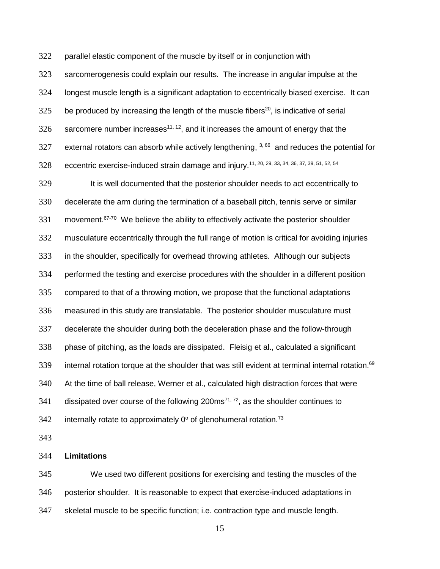parallel elastic component of the muscle by itself or in conjunction with

 sarcomerogenesis could explain our results. The increase in angular impulse at the longest muscle length is a significant adaptation to eccentrically biased exercise. It can be produced by increasing the length of the muscle fibers<sup>20</sup>, is indicative of serial sarcomere number increases<sup>11, 12</sup>, and it increases the amount of energy that the 327 external rotators can absorb while actively lengthening,  $3,66$  and reduces the potential for 328 eccentric exercise-induced strain damage and injury.<sup>11, 20, 29, 33, 34, 36, 37, 39, 51, 52, 54</sup>

 It is well documented that the posterior shoulder needs to act eccentrically to decelerate the arm during the termination of a baseball pitch, tennis serve or similar movement.<sup>67-70</sup> We believe the ability to effectively activate the posterior shoulder musculature eccentrically through the full range of motion is critical for avoiding injuries in the shoulder, specifically for overhead throwing athletes. Although our subjects performed the testing and exercise procedures with the shoulder in a different position compared to that of a throwing motion, we propose that the functional adaptations measured in this study are translatable. The posterior shoulder musculature must decelerate the shoulder during both the deceleration phase and the follow-through phase of pitching, as the loads are dissipated. Fleisig et al., calculated a significant 339 internal rotation torque at the shoulder that was still evident at terminal internal rotation.<sup>69</sup> At the time of ball release, Werner et al., calculated high distraction forces that were dissipated over course of the following 200ms<sup>71, 72</sup>, as the shoulder continues to 342 internally rotate to approximately  $0^{\circ}$  of glenohumeral rotation.<sup>73</sup>

#### **Limitations**

 We used two different positions for exercising and testing the muscles of the posterior shoulder. It is reasonable to expect that exercise-induced adaptations in skeletal muscle to be specific function; i.e. contraction type and muscle length.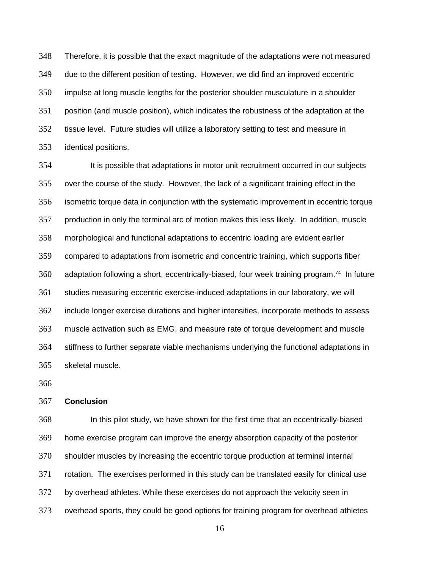Therefore, it is possible that the exact magnitude of the adaptations were not measured due to the different position of testing. However, we did find an improved eccentric impulse at long muscle lengths for the posterior shoulder musculature in a shoulder position (and muscle position), which indicates the robustness of the adaptation at the tissue level. Future studies will utilize a laboratory setting to test and measure in identical positions.

 It is possible that adaptations in motor unit recruitment occurred in our subjects over the course of the study. However, the lack of a significant training effect in the isometric torque data in conjunction with the systematic improvement in eccentric torque production in only the terminal arc of motion makes this less likely. In addition, muscle morphological and functional adaptations to eccentric loading are evident earlier compared to adaptations from isometric and concentric training, which supports fiber 360 adaptation following a short, eccentrically-biased, four week training program.<sup>74</sup> In future studies measuring eccentric exercise-induced adaptations in our laboratory, we will include longer exercise durations and higher intensities, incorporate methods to assess muscle activation such as EMG, and measure rate of torque development and muscle stiffness to further separate viable mechanisms underlying the functional adaptations in skeletal muscle.

#### **Conclusion**

 In this pilot study, we have shown for the first time that an eccentrically-biased home exercise program can improve the energy absorption capacity of the posterior shoulder muscles by increasing the eccentric torque production at terminal internal rotation. The exercises performed in this study can be translated easily for clinical use by overhead athletes. While these exercises do not approach the velocity seen in overhead sports, they could be good options for training program for overhead athletes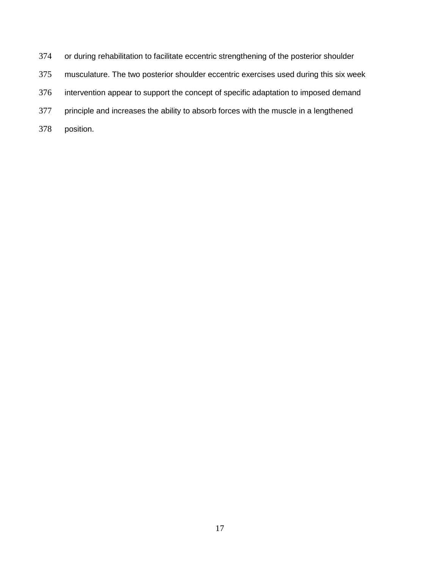or during rehabilitation to facilitate eccentric strengthening of the posterior shoulder musculature. The two posterior shoulder eccentric exercises used during this six week intervention appear to support the concept of specific adaptation to imposed demand 377 principle and increases the ability to absorb forces with the muscle in a lengthened position.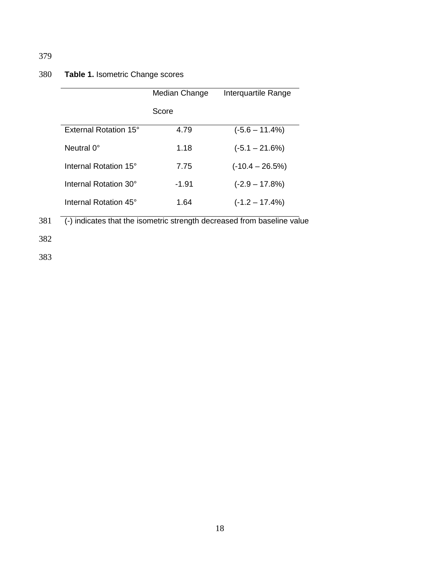# 380 **Table 1.** Isometric Change scores

|                       | Median Change | Interquartile Range |
|-----------------------|---------------|---------------------|
|                       | Score         |                     |
| External Rotation 15° | 4.79          | $(-5.6 - 11.4\%)$   |
| Neutral 0°            | 1.18          | $(-5.1 - 21.6%)$    |
| Internal Rotation 15° | 7.75          | $(-10.4 - 26.5%)$   |
| Internal Rotation 30° | -1.91         | $(-2.9 - 17.8%)$    |
| Internal Rotation 45° | 1.64          | $(-1.2 - 17.4%)$    |

381 (-) indicates that the isometric strength decreased from baseline value

382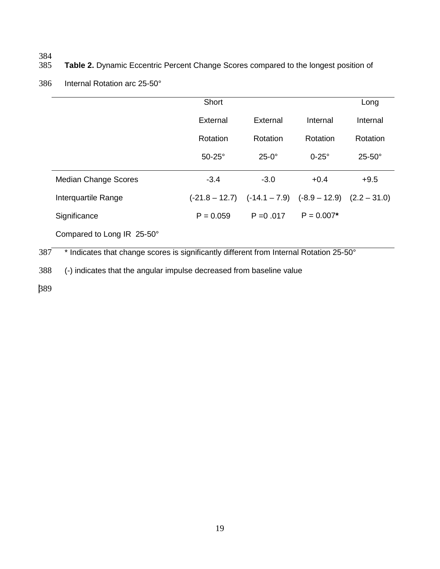# 384<br>385

# Table 2. Dynamic Eccentric Percent Change Scores compared to the longest position of

### 386 Internal Rotation arc 25-50°

|                             | Short         |                                                                 |              | Long          |
|-----------------------------|---------------|-----------------------------------------------------------------|--------------|---------------|
|                             | External      | External                                                        | Internal     | Internal      |
|                             | Rotation      | Rotation                                                        | Rotation     | Rotation      |
|                             | $50-25^\circ$ | $25-0$ °                                                        | $0-25^\circ$ | $25-50^\circ$ |
| <b>Median Change Scores</b> | $-3.4$        | $-3.0$                                                          | $+0.4$       | $+9.5$        |
| Interquartile Range         |               | $(-21.8 - 12.7)$ $(-14.1 - 7.9)$ $(-8.9 - 12.9)$ $(2.2 - 31.0)$ |              |               |
| Significance                | $P = 0.059$   | $P = 0.017$                                                     | $P = 0.007*$ |               |
| Compared to Long IR 25-50°  |               |                                                                 |              |               |

387 \* Indicates that change scores is significantly different from Internal Rotation 25-50°

388 (-) indicates that the angular impulse decreased from baseline value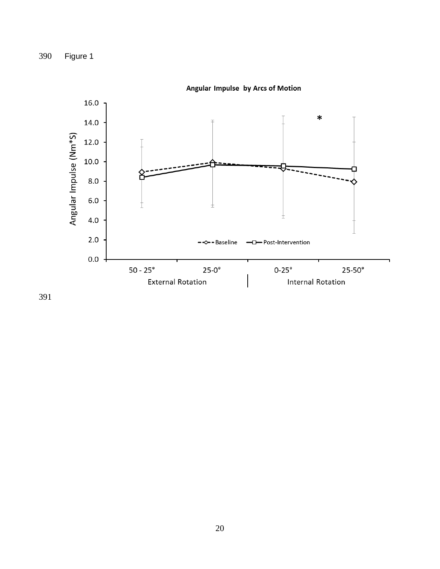Figure 1



Angular Impulse by Arcs of Motion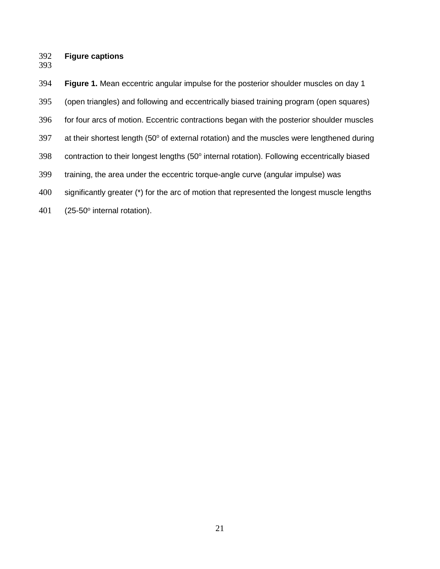#### **Figure captions**

 **Figure 1.** Mean eccentric angular impulse for the posterior shoulder muscles on day 1 (open triangles) and following and eccentrically biased training program (open squares) for four arcs of motion. Eccentric contractions began with the posterior shoulder muscles 397 at their shortest length (50 $^{\circ}$  of external rotation) and the muscles were lengthened during 398 contraction to their longest lengths (50° internal rotation). Following eccentrically biased training, the area under the eccentric torque-angle curve (angular impulse) was 400 significantly greater (\*) for the arc of motion that represented the longest muscle lengths (25-50 $^{\circ}$  internal rotation).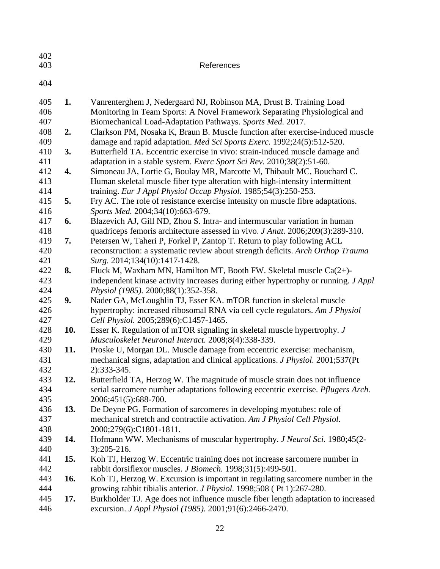| 402 |     |                                                                                        |
|-----|-----|----------------------------------------------------------------------------------------|
| 403 |     | References                                                                             |
|     |     |                                                                                        |
| 404 |     |                                                                                        |
| 405 | 1.  | Vanrenterghem J, Nedergaard NJ, Robinson MA, Drust B. Training Load                    |
| 406 |     | Monitoring in Team Sports: A Novel Framework Separating Physiological and              |
| 407 |     | Biomechanical Load-Adaptation Pathways. Sports Med. 2017.                              |
| 408 | 2.  | Clarkson PM, Nosaka K, Braun B. Muscle function after exercise-induced muscle          |
| 409 |     | damage and rapid adaptation. Med Sci Sports Exerc. 1992;24(5):512-520.                 |
| 410 | 3.  | Butterfield TA. Eccentric exercise in vivo: strain-induced muscle damage and           |
| 411 |     | adaptation in a stable system. Exerc Sport Sci Rev. 2010;38(2):51-60.                  |
| 412 | 4.  |                                                                                        |
| 413 |     | Simoneau JA, Lortie G, Boulay MR, Marcotte M, Thibault MC, Bouchard C.                 |
| 414 |     | Human skeletal muscle fiber type alteration with high-intensity intermittent           |
| 415 |     | training. Eur J Appl Physiol Occup Physiol. 1985;54(3):250-253.                        |
| 416 | 5.  | Fry AC. The role of resistance exercise intensity on muscle fibre adaptations.         |
|     |     | Sports Med. 2004;34(10):663-679.                                                       |
| 417 | 6.  | Blazevich AJ, Gill ND, Zhou S. Intra- and intermuscular variation in human             |
| 418 |     | quadriceps femoris architecture assessed in vivo. <i>J Anat.</i> 2006;209(3):289-310.  |
| 419 | 7.  | Petersen W, Taheri P, Forkel P, Zantop T. Return to play following ACL                 |
| 420 |     | reconstruction: a systematic review about strength deficits. Arch Orthop Trauma        |
| 421 |     | Surg. 2014;134(10):1417-1428.                                                          |
| 422 | 8.  | Fluck M, Waxham MN, Hamilton MT, Booth FW. Skeletal muscle Ca(2+)-                     |
| 423 |     | independent kinase activity increases during either hypertrophy or running. J Appl     |
| 424 |     | Physiol (1985). 2000;88(1):352-358.                                                    |
| 425 | 9.  | Nader GA, McLoughlin TJ, Esser KA. mTOR function in skeletal muscle                    |
| 426 |     | hypertrophy: increased ribosomal RNA via cell cycle regulators. Am J Physiol           |
| 427 |     | Cell Physiol. 2005;289(6):C1457-1465.                                                  |
| 428 | 10. | Esser K. Regulation of mTOR signaling in skeletal muscle hypertrophy. J                |
| 429 |     | Musculoskelet Neuronal Interact. 2008;8(4):338-339.                                    |
| 430 | 11. | Proske U, Morgan DL. Muscle damage from eccentric exercise: mechanism,                 |
| 431 |     | mechanical signs, adaptation and clinical applications. <i>J Physiol</i> . 2001;537(Pt |
| 432 |     | 2):333-345.                                                                            |
| 433 | 12. | Butterfield TA, Herzog W. The magnitude of muscle strain does not influence            |
| 434 |     | serial sarcomere number adaptations following eccentric exercise. Pflugers Arch.       |
| 435 |     | 2006;451(5):688-700.                                                                   |
| 436 | 13. | De Deyne PG. Formation of sarcomeres in developing myotubes: role of                   |
| 437 |     | mechanical stretch and contractile activation. Am J Physiol Cell Physiol.              |
| 438 |     | 2000;279(6):C1801-1811.                                                                |
| 439 | 14. | Hofmann WW. Mechanisms of muscular hypertrophy. J Neurol Sci. 1980;45(2-               |
| 440 |     | $3):205-216.$                                                                          |
| 441 | 15. | Koh TJ, Herzog W. Eccentric training does not increase sarcomere number in             |
| 442 |     | rabbit dorsiflexor muscles. J Biomech. 1998;31(5):499-501.                             |
| 443 | 16. | Koh TJ, Herzog W. Excursion is important in regulating sarcomere number in the         |
| 444 |     | growing rabbit tibialis anterior. J Physiol. 1998;508 (Pt 1):267-280.                  |
| 445 | 17. | Burkholder TJ. Age does not influence muscle fiber length adaptation to increased      |
| 446 |     | excursion. J Appl Physiol (1985). 2001;91(6):2466-2470.                                |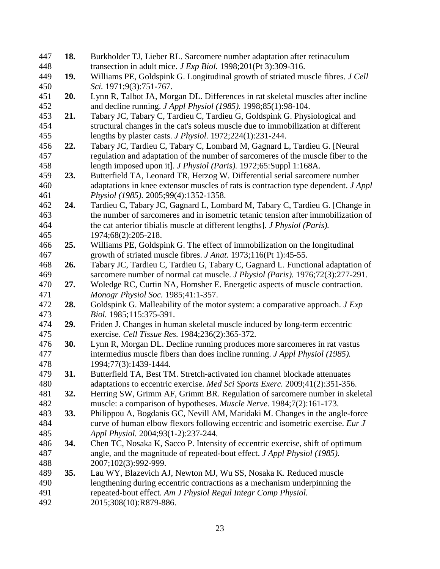| 447 | 18.        | Burkholder TJ, Lieber RL. Sarcomere number adaptation after retinaculum               |
|-----|------------|---------------------------------------------------------------------------------------|
| 448 |            | transection in adult mice. J Exp Biol. 1998;201(Pt 3):309-316.                        |
| 449 | 19.        | Williams PE, Goldspink G. Longitudinal growth of striated muscle fibres. J Cell       |
| 450 |            | Sci. 1971;9(3):751-767.                                                               |
| 451 | 20.        | Lynn R, Talbot JA, Morgan DL. Differences in rat skeletal muscles after incline       |
| 452 |            | and decline running. <i>J Appl Physiol</i> (1985). 1998;85(1):98-104.                 |
| 453 | 21.        | Tabary JC, Tabary C, Tardieu C, Tardieu G, Goldspink G. Physiological and             |
| 454 |            | structural changes in the cat's soleus muscle due to immobilization at different      |
| 455 |            | lengths by plaster casts. <i>J Physiol</i> . 1972;224(1):231-244.                     |
| 456 | 22.        | Tabary JC, Tardieu C, Tabary C, Lombard M, Gagnard L, Tardieu G. [Neural              |
| 457 |            | regulation and adaptation of the number of sarcomeres of the muscle fiber to the      |
| 458 |            | length imposed upon it]. <i>J Physiol (Paris)</i> . 1972;65:Suppl 1:168A.             |
| 459 | 23.        | Butterfield TA, Leonard TR, Herzog W. Differential serial sarcomere number            |
| 460 |            | adaptations in knee extensor muscles of rats is contraction type dependent. J Appl    |
| 461 |            | Physiol (1985). 2005;99(4):1352-1358.                                                 |
| 462 | 24.        | Tardieu C, Tabary JC, Gagnard L, Lombard M, Tabary C, Tardieu G. [Change in           |
| 463 |            | the number of sarcomeres and in isometric tetanic tension after immobilization of     |
| 464 |            | the cat anterior tibialis muscle at different lengths]. <i>J Physiol (Paris)</i> .    |
| 465 |            | 1974;68(2):205-218.                                                                   |
| 466 | 25.        | Williams PE, Goldspink G. The effect of immobilization on the longitudinal            |
| 467 |            | growth of striated muscle fibres. J Anat. 1973;116(Pt 1):45-55.                       |
| 468 | 26.        | Tabary JC, Tardieu C, Tardieu G, Tabary C, Gagnard L. Functional adaptation of        |
| 469 |            | sarcomere number of normal cat muscle. <i>J Physiol (Paris)</i> . 1976;72(3):277-291. |
| 470 | 27.        | Woledge RC, Curtin NA, Homsher E. Energetic aspects of muscle contraction.            |
| 471 |            | Monogr Physiol Soc. 1985;41:1-357.                                                    |
| 472 | 28.        | Goldspink G. Malleability of the motor system: a comparative approach. J Exp          |
| 473 |            | Biol. 1985;115:375-391.                                                               |
| 474 | 29.        | Friden J. Changes in human skeletal muscle induced by long-term eccentric             |
| 475 |            | exercise. Cell Tissue Res. 1984;236(2):365-372.                                       |
| 476 | <b>30.</b> | Lynn R, Morgan DL. Decline running produces more sarcomeres in rat vastus             |
| 477 |            | intermedius muscle fibers than does incline running. J Appl Physiol (1985).           |
| 478 |            | 1994;77(3):1439-1444.                                                                 |
| 479 | 31.        | Butterfield TA, Best TM. Stretch-activated ion channel blockade attenuates            |
| 480 |            | adaptations to eccentric exercise. Med Sci Sports Exerc. 2009;41(2):351-356.          |
| 481 | 32.        | Herring SW, Grimm AF, Grimm BR. Regulation of sarcomere number in skeletal            |
| 482 |            | muscle: a comparison of hypotheses. <i>Muscle Nerve</i> . 1984;7(2):161-173.          |
| 483 | 33.        | Philippou A, Bogdanis GC, Nevill AM, Maridaki M. Changes in the angle-force           |
| 484 |            | curve of human elbow flexors following eccentric and isometric exercise. Eur J        |
| 485 |            | Appl Physiol. 2004;93(1-2):237-244.                                                   |
| 486 | 34.        | Chen TC, Nosaka K, Sacco P. Intensity of eccentric exercise, shift of optimum         |
| 487 |            | angle, and the magnitude of repeated-bout effect. J Appl Physiol (1985).              |
| 488 |            | 2007;102(3):992-999.                                                                  |
| 489 | 35.        | Lau WY, Blazevich AJ, Newton MJ, Wu SS, Nosaka K. Reduced muscle                      |
| 490 |            | lengthening during eccentric contractions as a mechanism underpinning the             |
| 491 |            | repeated-bout effect. Am J Physiol Regul Integr Comp Physiol.                         |
| 492 |            | 2015;308(10):R879-886.                                                                |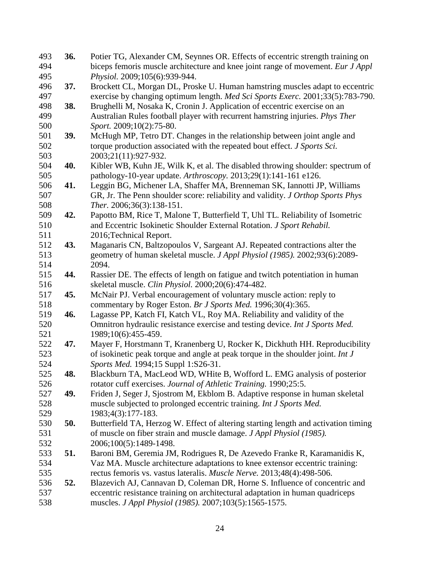| 493        | 36. | Potier TG, Alexander CM, Seynnes OR. Effects of eccentric strength training on                                         |
|------------|-----|------------------------------------------------------------------------------------------------------------------------|
| 494        |     | biceps femoris muscle architecture and knee joint range of movement. Eur J Appl                                        |
| 495        |     | Physiol. 2009;105(6):939-944.                                                                                          |
| 496        | 37. | Brockett CL, Morgan DL, Proske U. Human hamstring muscles adapt to eccentric                                           |
| 497        |     | exercise by changing optimum length. Med Sci Sports Exerc. 2001;33(5):783-790.                                         |
| 498        | 38. | Brughelli M, Nosaka K, Cronin J. Application of eccentric exercise on an                                               |
| 499        |     | Australian Rules football player with recurrent hamstring injuries. Phys Ther                                          |
| 500        |     | Sport. 2009;10(2):75-80.                                                                                               |
| 501        | 39. | McHugh MP, Tetro DT. Changes in the relationship between joint angle and                                               |
| 502        |     | torque production associated with the repeated bout effect. J Sports Sci.                                              |
| 503        |     | 2003;21(11):927-932.                                                                                                   |
| 504        | 40. | Kibler WB, Kuhn JE, Wilk K, et al. The disabled throwing shoulder: spectrum of                                         |
| 505        |     | pathology-10-year update. Arthroscopy. 2013;29(1):141-161 e126.                                                        |
| 506        | 41. | Leggin BG, Michener LA, Shaffer MA, Brenneman SK, Iannotti JP, Williams                                                |
| 507        |     | GR, Jr. The Penn shoulder score: reliability and validity. J Orthop Sports Phys                                        |
| 508        |     | Ther. 2006;36(3):138-151.                                                                                              |
| 509        | 42. | Papotto BM, Rice T, Malone T, Butterfield T, Uhl TL. Reliability of Isometric                                          |
| 510        |     | and Eccentric Isokinetic Shoulder External Rotation. J Sport Rehabil.                                                  |
| 511        |     | 2016; Technical Report.                                                                                                |
| 512        | 43. | Maganaris CN, Baltzopoulos V, Sargeant AJ. Repeated contractions alter the                                             |
| 513        |     | geometry of human skeletal muscle. J Appl Physiol (1985). 2002;93(6):2089-                                             |
| 514        |     | 2094.                                                                                                                  |
| 515        | 44. | Rassier DE. The effects of length on fatigue and twitch potentiation in human                                          |
| 516        |     | skeletal muscle. Clin Physiol. 2000;20(6):474-482.                                                                     |
| 517        | 45. | McNair PJ. Verbal encouragement of voluntary muscle action: reply to                                                   |
| 518        |     | commentary by Roger Eston. Br J Sports Med. 1996;30(4):365.                                                            |
| 519        | 46. | Lagasse PP, Katch FI, Katch VL, Roy MA. Reliability and validity of the                                                |
| 520        |     | Omnitron hydraulic resistance exercise and testing device. Int J Sports Med.                                           |
| 521        |     | 1989;10(6):455-459.                                                                                                    |
| 522<br>523 | 47. | Mayer F, Horstmann T, Kranenberg U, Rocker K, Dickhuth HH. Reproducibility                                             |
| 524        |     | of isokinetic peak torque and angle at peak torque in the shoulder joint. Int J<br>Sports Med. 1994;15 Suppl 1:S26-31. |
| 525        | 48. | Blackburn TA, MacLeod WD, WHite B, Wofford L. EMG analysis of posterior                                                |
| 526        |     | rotator cuff exercises. Journal of Athletic Training. 1990;25:5.                                                       |
| 527        | 49. | Friden J, Seger J, Sjostrom M, Ekblom B. Adaptive response in human skeletal                                           |
| 528        |     | muscle subjected to prolonged eccentric training. Int J Sports Med.                                                    |
| 529        |     | 1983;4(3):177-183.                                                                                                     |
| 530        | 50. | Butterfield TA, Herzog W. Effect of altering starting length and activation timing                                     |
| 531        |     | of muscle on fiber strain and muscle damage. J Appl Physiol (1985).                                                    |
| 532        |     | 2006;100(5):1489-1498.                                                                                                 |
| 533        | 51. | Baroni BM, Geremia JM, Rodrigues R, De Azevedo Franke R, Karamanidis K,                                                |
| 534        |     | Vaz MA. Muscle architecture adaptations to knee extensor eccentric training:                                           |
| 535        |     | rectus femoris vs. vastus lateralis. Muscle Nerve. 2013;48(4):498-506.                                                 |
| 536        | 52. | Blazevich AJ, Cannavan D, Coleman DR, Horne S. Influence of concentric and                                             |
| 537        |     | eccentric resistance training on architectural adaptation in human quadriceps                                          |
| 538        |     | muscles. J Appl Physiol (1985). 2007;103(5):1565-1575.                                                                 |
|            |     |                                                                                                                        |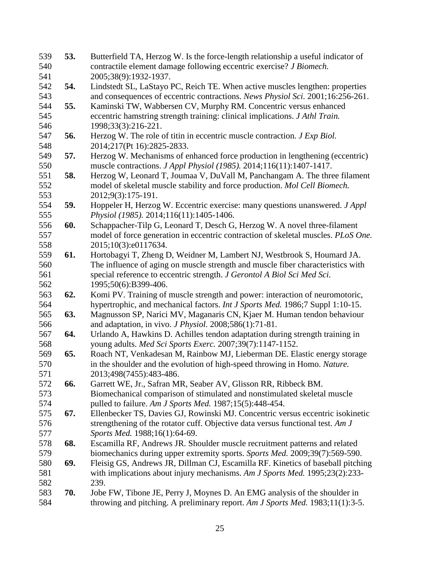| 539 | 53. | Butterfield TA, Herzog W. Is the force-length relationship a useful indicator of     |
|-----|-----|--------------------------------------------------------------------------------------|
| 540 |     | contractile element damage following eccentric exercise? J Biomech.                  |
| 541 |     | 2005;38(9):1932-1937.                                                                |
| 542 | 54. | Lindstedt SL, LaStayo PC, Reich TE. When active muscles lengthen: properties         |
| 543 |     | and consequences of eccentric contractions. News Physiol Sci. 2001;16:256-261.       |
| 544 | 55. | Kaminski TW, Wabbersen CV, Murphy RM. Concentric versus enhanced                     |
| 545 |     | eccentric hamstring strength training: clinical implications. J Athl Train.          |
| 546 |     | 1998;33(3):216-221.                                                                  |
| 547 | 56. | Herzog W. The role of titin in eccentric muscle contraction. J Exp Biol.             |
| 548 |     | 2014;217(Pt 16):2825-2833.                                                           |
| 549 | 57. | Herzog W. Mechanisms of enhanced force production in lengthening (eccentric)         |
| 550 |     | muscle contractions. <i>J Appl Physiol</i> (1985). 2014;116(11):1407-1417.           |
| 551 | 58. | Herzog W, Leonard T, Joumaa V, DuVall M, Panchangam A. The three filament            |
| 552 |     | model of skeletal muscle stability and force production. Mol Cell Biomech.           |
| 553 |     | 2012;9(3):175-191.                                                                   |
| 554 | 59. | Hoppeler H, Herzog W. Eccentric exercise: many questions unanswered. J Appl          |
| 555 |     | Physiol (1985). 2014;116(11):1405-1406.                                              |
| 556 | 60. | Schappacher-Tilp G, Leonard T, Desch G, Herzog W. A novel three-filament             |
| 557 |     | model of force generation in eccentric contraction of skeletal muscles. PLoS One.    |
| 558 |     | 2015;10(3):e0117634.                                                                 |
| 559 | 61. | Hortobagyi T, Zheng D, Weidner M, Lambert NJ, Westbrook S, Houmard JA.               |
| 560 |     | The influence of aging on muscle strength and muscle fiber characteristics with      |
| 561 |     | special reference to eccentric strength. J Gerontol A Biol Sci Med Sci.              |
| 562 |     | 1995;50(6):B399-406.                                                                 |
| 563 | 62. | Komi PV. Training of muscle strength and power: interaction of neuromotoric,         |
| 564 |     | hypertrophic, and mechanical factors. <i>Int J Sports Med.</i> 1986;7 Suppl 1:10-15. |
| 565 | 63. | Magnusson SP, Narici MV, Maganaris CN, Kjaer M. Human tendon behaviour               |
| 566 |     | and adaptation, in vivo. J Physiol. 2008;586(1):71-81.                               |
| 567 | 64. | Urlando A, Hawkins D. Achilles tendon adaptation during strength training in         |
| 568 |     | young adults. Med Sci Sports Exerc. 2007;39(7):1147-1152.                            |
| 569 | 65. | Roach NT, Venkadesan M, Rainbow MJ, Lieberman DE. Elastic energy storage             |
| 570 |     | in the shoulder and the evolution of high-speed throwing in Homo. Nature.            |
| 571 |     | 2013;498(7455):483-486.                                                              |
| 572 | 66. | Garrett WE, Jr., Safran MR, Seaber AV, Glisson RR, Ribbeck BM.                       |
| 573 |     | Biomechanical comparison of stimulated and nonstimulated skeletal muscle             |
| 574 |     | pulled to failure. Am J Sports Med. 1987;15(5):448-454.                              |
| 575 | 67. | Ellenbecker TS, Davies GJ, Rowinski MJ. Concentric versus eccentric isokinetic       |
| 576 |     | strengthening of the rotator cuff. Objective data versus functional test. Am J       |
| 577 |     | Sports Med. 1988;16(1):64-69.                                                        |
| 578 | 68. | Escamilla RF, Andrews JR. Shoulder muscle recruitment patterns and related           |
| 579 |     | biomechanics during upper extremity sports. Sports Med. 2009;39(7):569-590.          |
| 580 | 69. | Fleisig GS, Andrews JR, Dillman CJ, Escamilla RF. Kinetics of baseball pitching      |
| 581 |     | with implications about injury mechanisms. Am J Sports Med. 1995;23(2):233-          |
| 582 |     | 239.                                                                                 |
| 583 | 70. | Jobe FW, Tibone JE, Perry J, Moynes D. An EMG analysis of the shoulder in            |
| 584 |     | throwing and pitching. A preliminary report. Am J Sports Med. 1983;11(1):3-5.        |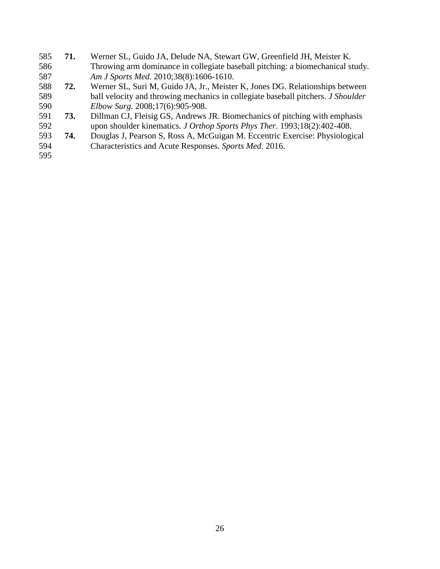**71.** Werner SL, Guido JA, Delude NA, Stewart GW, Greenfield JH, Meister K. Throwing arm dominance in collegiate baseball pitching: a biomechanical study. *Am J Sports Med.* 2010;38(8):1606-1610. **72.** Werner SL, Suri M, Guido JA, Jr., Meister K, Jones DG. Relationships between ball velocity and throwing mechanics in collegiate baseball pitchers. *J Shoulder Elbow Surg.* 2008;17(6):905-908. **73.** Dillman CJ, Fleisig GS, Andrews JR. Biomechanics of pitching with emphasis upon shoulder kinematics. *J Orthop Sports Phys Ther.* 1993;18(2):402-408. **74.** Douglas J, Pearson S, Ross A, McGuigan M. Eccentric Exercise: Physiological Characteristics and Acute Responses. *Sports Med.* 2016.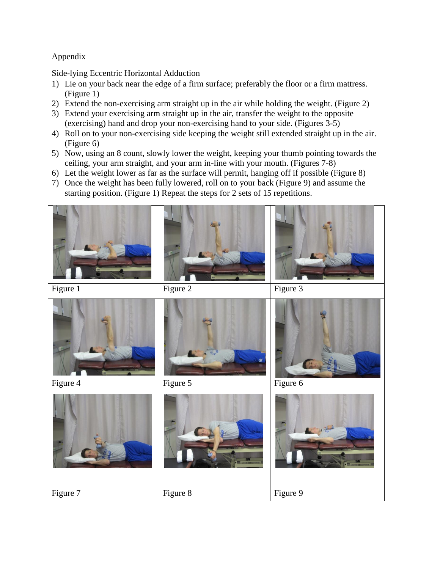# Appendix

Side-lying Eccentric Horizontal Adduction

- 1) Lie on your back near the edge of a firm surface; preferably the floor or a firm mattress. (Figure 1)
- 2) Extend the non-exercising arm straight up in the air while holding the weight. (Figure 2)
- 3) Extend your exercising arm straight up in the air, transfer the weight to the opposite (exercising) hand and drop your non-exercising hand to your side. (Figures 3-5)
- 4) Roll on to your non-exercising side keeping the weight still extended straight up in the air. (Figure 6)
- 5) Now, using an 8 count, slowly lower the weight, keeping your thumb pointing towards the ceiling, your arm straight, and your arm in-line with your mouth. (Figures 7-8)
- 6) Let the weight lower as far as the surface will permit, hanging off if possible (Figure 8)
- 7) Once the weight has been fully lowered, roll on to your back (Figure 9) and assume the starting position. (Figure 1) Repeat the steps for 2 sets of 15 repetitions.